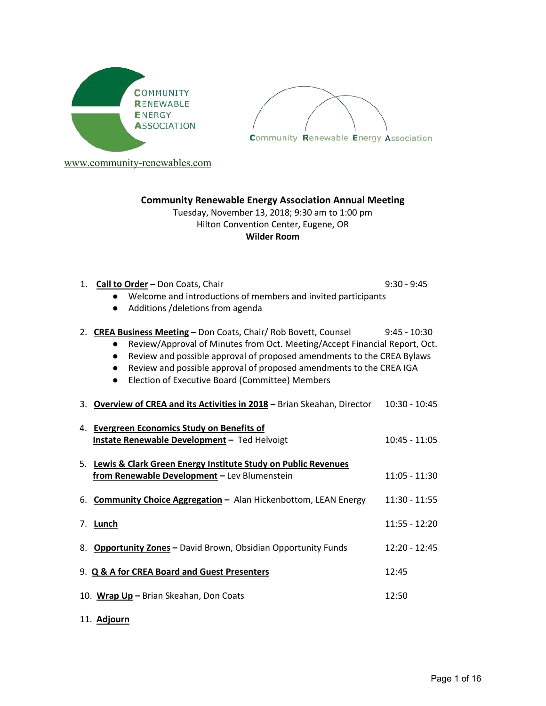



[www.community-renewables.com](http://www.community-renewables.com/)

# **Community Renewable Energy Association Annual Meeting**

Tuesday, November 13, 2018; 9:30 am to 1:00 pm Hilton Convention Center, Eugene, OR **Wilder Room**

| 1. Call to Order - Don Coats, Chair                                                     | $9:30 - 9:45$   |
|-----------------------------------------------------------------------------------------|-----------------|
| Welcome and introductions of members and invited participants                           |                 |
| Additions /deletions from agenda<br>$\bullet$                                           |                 |
|                                                                                         |                 |
| 2. CREA Business Meeting - Don Coats, Chair/ Rob Bovett, Counsel 9:45 - 10:30           |                 |
| Review/Approval of Minutes from Oct. Meeting/Accept Financial Report, Oct.<br>$\bullet$ |                 |
| Review and possible approval of proposed amendments to the CREA Bylaws                  |                 |
| Review and possible approval of proposed amendments to the CREA IGA                     |                 |
| Election of Executive Board (Committee) Members<br>$\bullet$                            |                 |
|                                                                                         |                 |
| 3. Overview of CREA and its Activities in 2018 - Brian Skeahan, Director                | $10:30 - 10:45$ |
|                                                                                         |                 |
| 4. Evergreen Economics Study on Benefits of                                             |                 |
|                                                                                         | $10:45 - 11:05$ |
| Instate Renewable Development - Ted Helvoigt                                            |                 |
|                                                                                         |                 |
| 5. Lewis & Clark Green Energy Institute Study on Public Revenues                        | $11:05 - 11:30$ |
| from Renewable Development - Lev Blumenstein                                            |                 |
|                                                                                         |                 |
| 6. Community Choice Aggregation - Alan Hickenbottom, LEAN Energy                        | $11:30 - 11:55$ |
|                                                                                         |                 |
| 7. Lunch                                                                                | $11:55 - 12:20$ |
|                                                                                         |                 |
| 8. Opportunity Zones - David Brown, Obsidian Opportunity Funds                          | $12:20 - 12:45$ |
|                                                                                         |                 |
| 9. Q & A for CREA Board and Guest Presenters                                            | 12:45           |
|                                                                                         |                 |
| 10. Wrap Up - Brian Skeahan, Don Coats                                                  | 12:50           |
|                                                                                         |                 |

11. **Adjourn**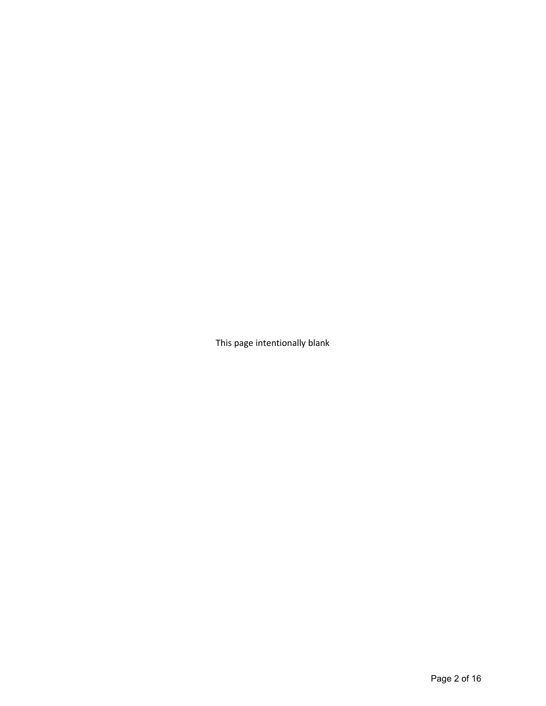This page intentionally blank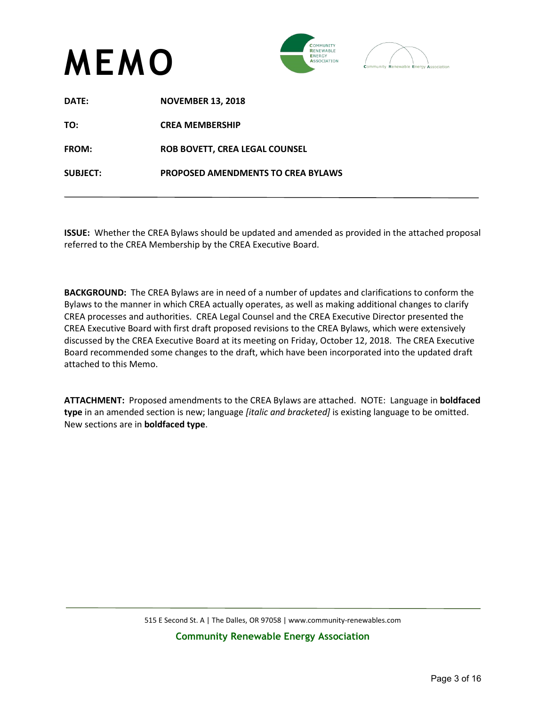





| DATE:           | <b>NOVEMBER 13, 2018</b>              |
|-----------------|---------------------------------------|
| TO:             | <b>CREA MEMBERSHIP</b>                |
| <b>FROM:</b>    | <b>ROB BOVETT, CREA LEGAL COUNSEL</b> |
| <b>SUBJECT:</b> | PROPOSED AMENDMENTS TO CREA BYLAWS    |
|                 |                                       |

**ISSUE:** Whether the CREA Bylaws should be updated and amended as provided in the attached proposal referred to the CREA Membership by the CREA Executive Board.

**BACKGROUND:** The CREA Bylaws are in need of a number of updates and clarifications to conform the Bylaws to the manner in which CREA actually operates, as well as making additional changes to clarify CREA processes and authorities. CREA Legal Counsel and the CREA Executive Director presented the CREA Executive Board with first draft proposed revisions to the CREA Bylaws, which were extensively discussed by the CREA Executive Board at its meeting on Friday, October 12, 2018. The CREA Executive Board recommended some changes to the draft, which have been incorporated into the updated draft attached to this Memo.

**ATTACHMENT:** Proposed amendments to the CREA Bylaws are attached. NOTE: Language in **boldfaced type** in an amended section is new; language *[italic and bracketed]* is existing language to be omitted. New sections are in **boldfaced type**.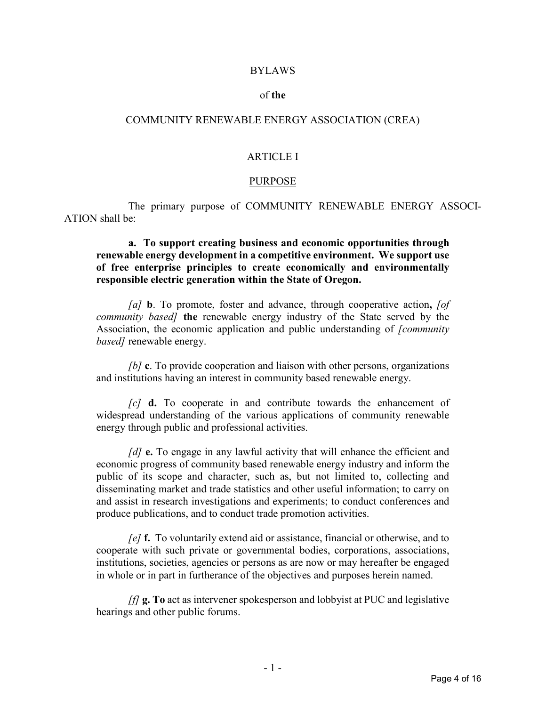#### BYLAWS

#### of **the**

#### COMMUNITY RENEWABLE ENERGY ASSOCIATION (CREA)

### ARTICLE I

#### PURPOSE

 The primary purpose of COMMUNITY RENEWABLE ENERGY ASSOCI-ATION shall be:

#### **a. To support creating business and economic opportunities through renewable energy development in a competitive environment. We support use of free enterprise principles to create economically and environmentally responsible electric generation within the State of Oregon.**

*[a]* **b**. To promote, foster and advance, through cooperative action**,** *[of community based]* **the** renewable energy industry of the State served by the Association, the economic application and public understanding of *[community based]* renewable energy.

*[b]* **c**. To provide cooperation and liaison with other persons, organizations and institutions having an interest in community based renewable energy.

*[c]* **d.** To cooperate in and contribute towards the enhancement of widespread understanding of the various applications of community renewable energy through public and professional activities.

*[d]* **e.** To engage in any lawful activity that will enhance the efficient and economic progress of community based renewable energy industry and inform the public of its scope and character, such as, but not limited to, collecting and disseminating market and trade statistics and other useful information; to carry on and assist in research investigations and experiments; to conduct conferences and produce publications, and to conduct trade promotion activities.

*[e]* **f.** To voluntarily extend aid or assistance, financial or otherwise, and to cooperate with such private or governmental bodies, corporations, associations, institutions, societies, agencies or persons as are now or may hereafter be engaged in whole or in part in furtherance of the objectives and purposes herein named.

*[f]* **g. To** act as intervener spokesperson and lobbyist at PUC and legislative hearings and other public forums.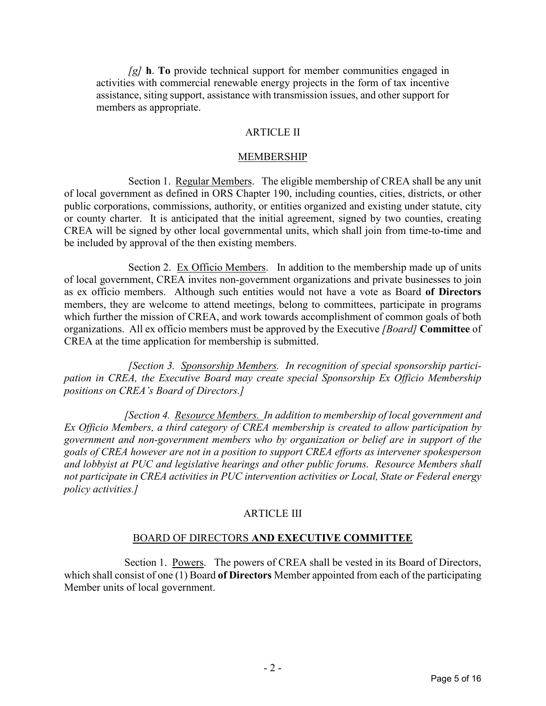*[g]* **h**. **To** provide technical support for member communities engaged in activities with commercial renewable energy projects in the form of tax incentive assistance, siting support, assistance with transmission issues, and other support for members as appropriate.

#### ARTICLE II

#### MEMBERSHIP

Section 1. Regular Members. The eligible membership of CREA shall be any unit of local government as defined in ORS Chapter 190, including counties, cities, districts, or other public corporations, commissions, authority, or entities organized and existing under statute, city or county charter. It is anticipated that the initial agreement, signed by two counties, creating CREA will be signed by other local governmental units, which shall join from time-to-time and be included by approval of the then existing members.

 Section 2. Ex Officio Members. In addition to the membership made up of units of local government, CREA invites non-government organizations and private businesses to join as ex officio members. Although such entities would not have a vote as Board **of Directors** members, they are welcome to attend meetings, belong to committees, participate in programs which further the mission of CREA, and work towards accomplishment of common goals of both organizations. All ex officio members must be approved by the Executive *[Board]* **Committee** of CREA at the time application for membership is submitted.

 *[Section 3. Sponsorship Members. In recognition of special sponsorship participation in CREA, the Executive Board may create special Sponsorship Ex Officio Membership positions on CREA's Board of Directors.]* 

 *[Section 4. Resource Members. In addition to membership of local government and Ex Officio Members, a third category of CREA membership is created to allow participation by government and non-government members who by organization or belief are in support of the goals of CREA however are not in a position to support CREA efforts as intervener spokesperson and lobbyist at PUC and legislative hearings and other public forums. Resource Members shall not participate in CREA activities in PUC intervention activities or Local, State or Federal energy policy activities.]* 

## ARTICLE III

#### BOARD OF DIRECTORS **AND EXECUTIVE COMMITTEE**

 Section 1. Powers. The powers of CREA shall be vested in its Board of Directors, which shall consist of one (1) Board **of Directors** Member appointed from each of the participating Member units of local government.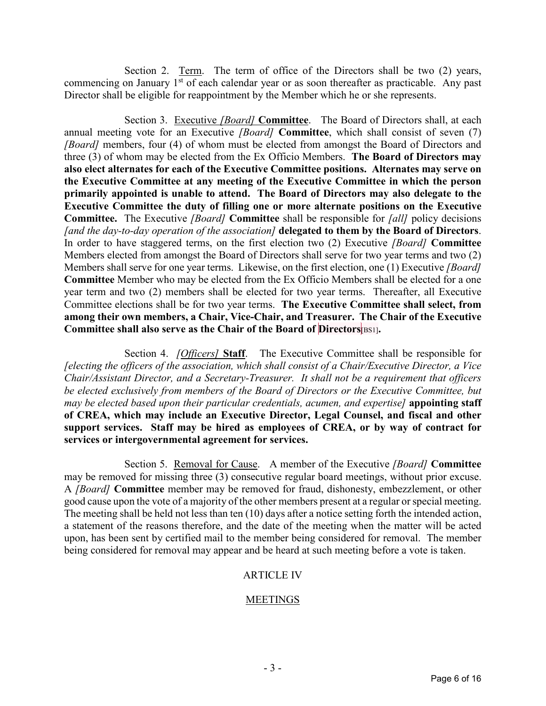Section 2. Term. The term of office of the Directors shall be two (2) years, commencing on January 1<sup>st</sup> of each calendar year or as soon thereafter as practicable. Any past Director shall be eligible for reappointment by the Member which he or she represents.

 Section 3. Executive *[Board]* **Committee**. The Board of Directors shall, at each annual meeting vote for an Executive *[Board]* **Committee**, which shall consist of seven (7) *[Board]* members, four (4) of whom must be elected from amongst the Board of Directors and three (3) of whom may be elected from the Ex Officio Members. **The Board of Directors may also elect alternates for each of the Executive Committee positions. Alternates may serve on the Executive Committee at any meeting of the Executive Committee in which the person primarily appointed is unable to attend. The Board of Directors may also delegate to the Executive Committee the duty of filling one or more alternate positions on the Executive Committee.** The Executive *[Board]* **Committee** shall be responsible for *[all]* policy decisions *[and the day-to-day operation of the association]* **delegated to them by the Board of Directors**. In order to have staggered terms, on the first election two (2) Executive *[Board]* **Committee** Members elected from amongst the Board of Directors shall serve for two year terms and two (2) Members shall serve for one year terms. Likewise, on the first election, one (1) Executive *[Board]* **Committee** Member who may be elected from the Ex Officio Members shall be elected for a one year term and two (2) members shall be elected for two year terms. Thereafter, all Executive Committee elections shall be for two year terms. **The Executive Committee shall select, from among their own members, a Chair, Vice-Chair, and Treasurer. The Chair of the Executive Committee shall also serve as the Chair of the Board of Directors**[BS1]**.** 

 Section 4. *[Officers]* **Staff**. The Executive Committee shall be responsible for *[electing the officers of the association, which shall consist of a Chair/Executive Director, a Vice Chair/Assistant Director, and a Secretary-Treasurer. It shall not be a requirement that officers be elected exclusively from members of the Board of Directors or the Executive Committee, but may be elected based upon their particular credentials, acumen, and expertise]* **appointing staff of CREA, which may include an Executive Director, Legal Counsel, and fiscal and other support services. Staff may be hired as employees of CREA, or by way of contract for services or intergovernmental agreement for services.**

 Section 5. Removal for Cause. A member of the Executive *[Board]* **Committee** may be removed for missing three (3) consecutive regular board meetings, without prior excuse. A *[Board]* **Committee** member may be removed for fraud, dishonesty, embezzlement, or other good cause upon the vote of a majority of the other members present at a regular or special meeting. The meeting shall be held not less than ten (10) days after a notice setting forth the intended action, a statement of the reasons therefore, and the date of the meeting when the matter will be acted upon, has been sent by certified mail to the member being considered for removal. The member being considered for removal may appear and be heard at such meeting before a vote is taken.

## ARTICLE IV

## **MEETINGS**

- 3 -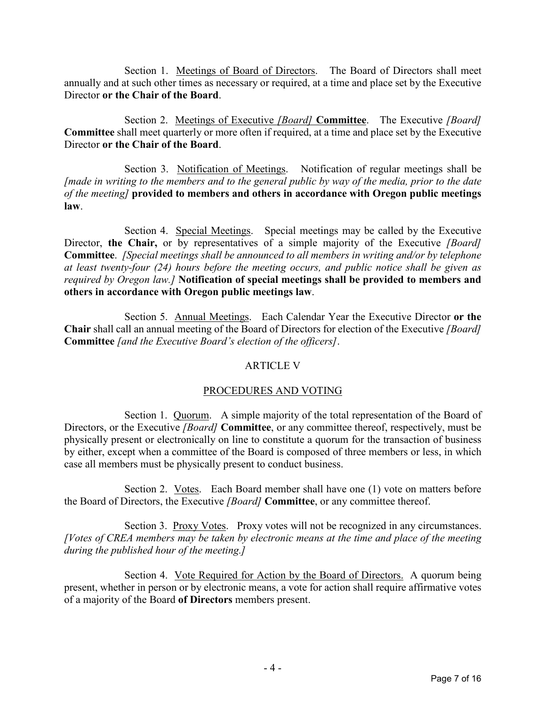Section 1. Meetings of Board of Directors. The Board of Directors shall meet annually and at such other times as necessary or required, at a time and place set by the Executive Director **or the Chair of the Board**.

 Section 2. Meetings of Executive *[Board]* **Committee**. The Executive *[Board]* **Committee** shall meet quarterly or more often if required, at a time and place set by the Executive Director **or the Chair of the Board**.

 Section 3. Notification of Meetings. Notification of regular meetings shall be *[made in writing to the members and to the general public by way of the media, prior to the date of the meeting]* **provided to members and others in accordance with Oregon public meetings law**.

 Section 4. Special Meetings. Special meetings may be called by the Executive Director, **the Chair,** or by representatives of a simple majority of the Executive *[Board]*  **Committee**. *[Special meetings shall be announced to all members in writing and/or by telephone at least twenty-four (24) hours before the meeting occurs, and public notice shall be given as required by Oregon law.]* **Notification of special meetings shall be provided to members and others in accordance with Oregon public meetings law**.

 Section 5. Annual Meetings. Each Calendar Year the Executive Director **or the Chair** shall call an annual meeting of the Board of Directors for election of the Executive *[Board]*  **Committee** *[and the Executive Board's election of the officers]*.

## ARTICLE V

## PROCEDURES AND VOTING

 Section 1. Quorum. A simple majority of the total representation of the Board of Directors, or the Executive *[Board]* **Committee**, or any committee thereof, respectively, must be physically present or electronically on line to constitute a quorum for the transaction of business by either, except when a committee of the Board is composed of three members or less, in which case all members must be physically present to conduct business.

 Section 2. Votes. Each Board member shall have one (1) vote on matters before the Board of Directors, the Executive *[Board]* **Committee**, or any committee thereof.

 Section 3. Proxy Votes. Proxy votes will not be recognized in any circumstances. *[Votes of CREA members may be taken by electronic means at the time and place of the meeting during the published hour of the meeting.]* 

 Section 4. Vote Required for Action by the Board of Directors. A quorum being present, whether in person or by electronic means, a vote for action shall require affirmative votes of a majority of the Board **of Directors** members present.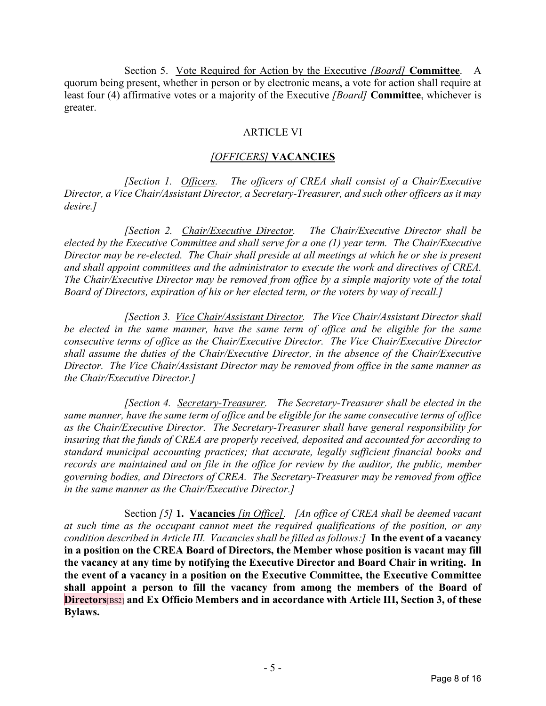Section 5. Vote Required for Action by the Executive *[Board]* **Committee**. A quorum being present, whether in person or by electronic means, a vote for action shall require at least four (4) affirmative votes or a majority of the Executive *[Board]* **Committee**, whichever is greater.

# ARTICLE VI

## *[OFFICERS]* **VACANCIES**

 *[Section 1. Officers. The officers of CREA shall consist of a Chair/Executive Director, a Vice Chair/Assistant Director, a Secretary-Treasurer, and such other officers as it may desire.]* 

 *[Section 2. Chair/Executive Director. The Chair/Executive Director shall be elected by the Executive Committee and shall serve for a one (1) year term. The Chair/Executive Director may be re-elected. The Chair shall preside at all meetings at which he or she is present and shall appoint committees and the administrator to execute the work and directives of CREA. The Chair/Executive Director may be removed from office by a simple majority vote of the total Board of Directors, expiration of his or her elected term, or the voters by way of recall.]* 

 *[Section 3. Vice Chair/Assistant Director. The Vice Chair/Assistant Director shall be elected in the same manner, have the same term of office and be eligible for the same consecutive terms of office as the Chair/Executive Director. The Vice Chair/Executive Director shall assume the duties of the Chair/Executive Director, in the absence of the Chair/Executive Director. The Vice Chair/Assistant Director may be removed from office in the same manner as the Chair/Executive Director.]* 

 *[Section 4. Secretary-Treasurer. The Secretary-Treasurer shall be elected in the same manner, have the same term of office and be eligible for the same consecutive terms of office as the Chair/Executive Director. The Secretary-Treasurer shall have general responsibility for insuring that the funds of CREA are properly received, deposited and accounted for according to standard municipal accounting practices; that accurate, legally sufficient financial books and records are maintained and on file in the office for review by the auditor, the public, member governing bodies, and Directors of CREA. The Secretary-Treasurer may be removed from office in the same manner as the Chair/Executive Director.]* 

 Section *[5]* **1. Vacancies** *[in Office]. [An office of CREA shall be deemed vacant at such time as the occupant cannot meet the required qualifications of the position, or any condition described in Article III. Vacancies shall be filled as follows:]* **In the event of a vacancy in a position on the CREA Board of Directors, the Member whose position is vacant may fill the vacancy at any time by notifying the Executive Director and Board Chair in writing. In the event of a vacancy in a position on the Executive Committee, the Executive Committee shall appoint a person to fill the vacancy from among the members of the Board of Directors**[BS2] **and Ex Officio Members and in accordance with Article III, Section 3, of these Bylaws.**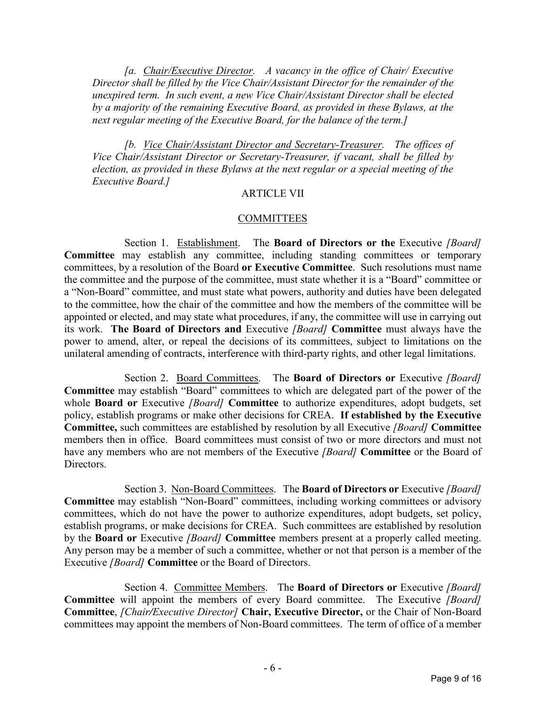*[a. Chair/Executive Director. A vacancy in the office of Chair/ Executive Director shall be filled by the Vice Chair/Assistant Director for the remainder of the unexpired term. In such event, a new Vice Chair/Assistant Director shall be elected by a majority of the remaining Executive Board, as provided in these Bylaws, at the next regular meeting of the Executive Board, for the balance of the term.]* 

 *[b. Vice Chair/Assistant Director and Secretary-Treasurer. The offices of Vice Chair/Assistant Director or Secretary-Treasurer, if vacant, shall be filled by election, as provided in these Bylaws at the next regular or a special meeting of the Executive Board.]* 

#### ARTICLE VII

#### **COMMITTEES**

 Section 1. Establishment. The **Board of Directors or the** Executive *[Board]*  **Committee** may establish any committee, including standing committees or temporary committees, by a resolution of the Board **or Executive Committee**. Such resolutions must name the committee and the purpose of the committee, must state whether it is a "Board" committee or a "Non-Board" committee, and must state what powers, authority and duties have been delegated to the committee, how the chair of the committee and how the members of the committee will be appointed or elected, and may state what procedures, if any, the committee will use in carrying out its work. **The Board of Directors and** Executive *[Board]* **Committee** must always have the power to amend, alter, or repeal the decisions of its committees, subject to limitations on the unilateral amending of contracts, interference with third-party rights, and other legal limitations.

 Section 2. Board Committees. The **Board of Directors or** Executive *[Board]*  **Committee** may establish "Board" committees to which are delegated part of the power of the whole **Board or** Executive *[Board]* **Committee** to authorize expenditures, adopt budgets, set policy, establish programs or make other decisions for CREA. **If established by the Executive Committee,** such committees are established by resolution by all Executive *[Board]* **Committee** members then in office. Board committees must consist of two or more directors and must not have any members who are not members of the Executive *[Board]* **Committee** or the Board of Directors.

 Section 3. Non-Board Committees. The **Board of Directors or** Executive *[Board]* **Committee** may establish "Non-Board" committees, including working committees or advisory committees, which do not have the power to authorize expenditures, adopt budgets, set policy, establish programs, or make decisions for CREA. Such committees are established by resolution by the **Board or** Executive *[Board]* **Committee** members present at a properly called meeting. Any person may be a member of such a committee, whether or not that person is a member of the Executive *[Board]* **Committee** or the Board of Directors.

 Section 4. Committee Members. The **Board of Directors or** Executive *[Board]*  **Committee** will appoint the members of every Board committee. The Executive *[Board]*  **Committee**, *[Chair/Executive Director]* **Chair, Executive Director,** or the Chair of Non-Board committees may appoint the members of Non-Board committees. The term of office of a member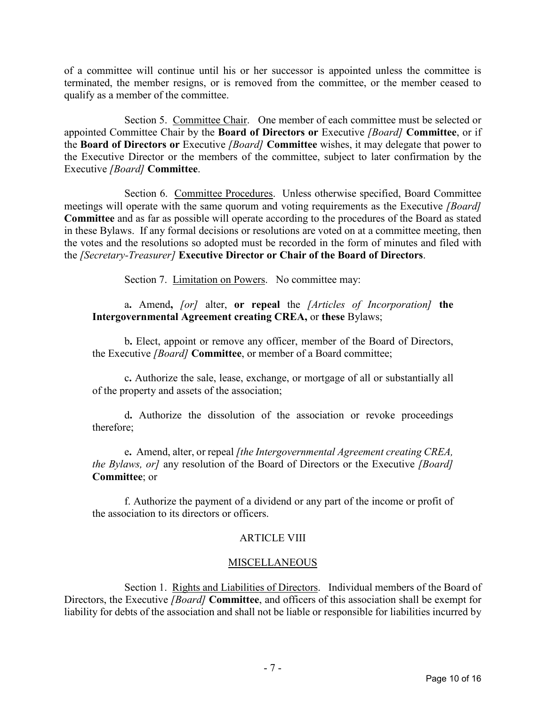of a committee will continue until his or her successor is appointed unless the committee is terminated, the member resigns, or is removed from the committee, or the member ceased to qualify as a member of the committee.

 Section 5. Committee Chair. One member of each committee must be selected or appointed Committee Chair by the **Board of Directors or** Executive *[Board]* **Committee**, or if the **Board of Directors or** Executive *[Board]* **Committee** wishes, it may delegate that power to the Executive Director or the members of the committee, subject to later confirmation by the Executive *[Board]* **Committee**.

 Section 6. Committee Procedures. Unless otherwise specified, Board Committee meetings will operate with the same quorum and voting requirements as the Executive *[Board]* **Committee** and as far as possible will operate according to the procedures of the Board as stated in these Bylaws. If any formal decisions or resolutions are voted on at a committee meeting, then the votes and the resolutions so adopted must be recorded in the form of minutes and filed with the *[Secretary-Treasurer]* **Executive Director or Chair of the Board of Directors**.

Section 7. Limitation on Powers. No committee may:

a**.** Amend**,** *[or]* alter, **or repeal** the *[Articles of Incorporation]* **the Intergovernmental Agreement creating CREA,** or **these** Bylaws;

b**.** Elect, appoint or remove any officer, member of the Board of Directors, the Executive *[Board]* **Committee**, or member of a Board committee;

 c**.** Authorize the sale, lease, exchange, or mortgage of all or substantially all of the property and assets of the association;

d**.** Authorize the dissolution of the association or revoke proceedings therefore;

e**.** Amend, alter, or repeal *[the Intergovernmental Agreement creating CREA, the Bylaws, or]* any resolution of the Board of Directors or the Executive *[Board]* **Committee**; or

f. Authorize the payment of a dividend or any part of the income or profit of the association to its directors or officers.

## ARTICLE VIII

## **MISCELLANEOUS**

 Section 1. Rights and Liabilities of Directors. Individual members of the Board of Directors, the Executive *[Board]* **Committee**, and officers of this association shall be exempt for liability for debts of the association and shall not be liable or responsible for liabilities incurred by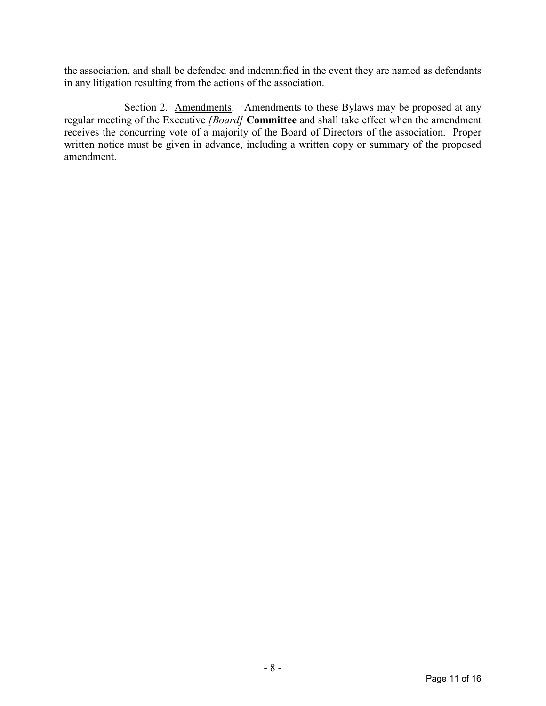the association, and shall be defended and indemnified in the event they are named as defendants in any litigation resulting from the actions of the association.

Section 2. Amendments. Amendments to these Bylaws may be proposed at any regular meeting of the Executive *[Board]* **Committee** and shall take effect when the amendment receives the concurring vote of a majority of the Board of Directors of the association. Proper written notice must be given in advance, including a written copy or summary of the proposed amendment.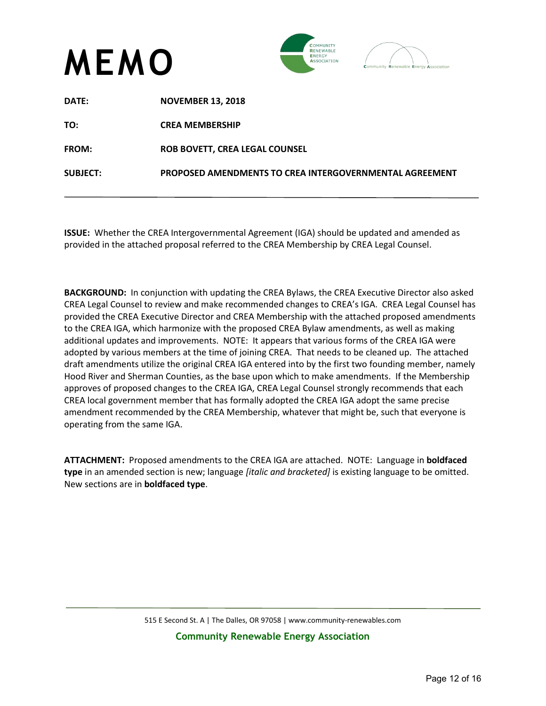





| <b>DATE:</b>    | <b>NOVEMBER 13, 2018</b>                                       |
|-----------------|----------------------------------------------------------------|
| TO:             | <b>CREA MEMBERSHIP</b>                                         |
| <b>FROM:</b>    | <b>ROB BOVETT, CREA LEGAL COUNSEL</b>                          |
| <b>SUBJECT:</b> | <b>PROPOSED AMENDMENTS TO CREA INTERGOVERNMENTAL AGREEMENT</b> |
|                 |                                                                |

**ISSUE:** Whether the CREA Intergovernmental Agreement (IGA) should be updated and amended as provided in the attached proposal referred to the CREA Membership by CREA Legal Counsel.

**BACKGROUND:** In conjunction with updating the CREA Bylaws, the CREA Executive Director also asked CREA Legal Counsel to review and make recommended changes to CREA's IGA. CREA Legal Counsel has provided the CREA Executive Director and CREA Membership with the attached proposed amendments to the CREA IGA, which harmonize with the proposed CREA Bylaw amendments, as well as making additional updates and improvements. NOTE: It appears that various forms of the CREA IGA were adopted by various members at the time of joining CREA. That needs to be cleaned up. The attached draft amendments utilize the original CREA IGA entered into by the first two founding member, namely Hood River and Sherman Counties, as the base upon which to make amendments. If the Membership approves of proposed changes to the CREA IGA, CREA Legal Counsel strongly recommends that each CREA local government member that has formally adopted the CREA IGA adopt the same precise amendment recommended by the CREA Membership, whatever that might be, such that everyone is operating from the same IGA.

**ATTACHMENT:** Proposed amendments to the CREA IGA are attached. NOTE: Language in **boldfaced type** in an amended section is new; language *[italic and bracketed]* is existing language to be omitted. New sections are in **boldfaced type**.

**Community Renewable Energy Association**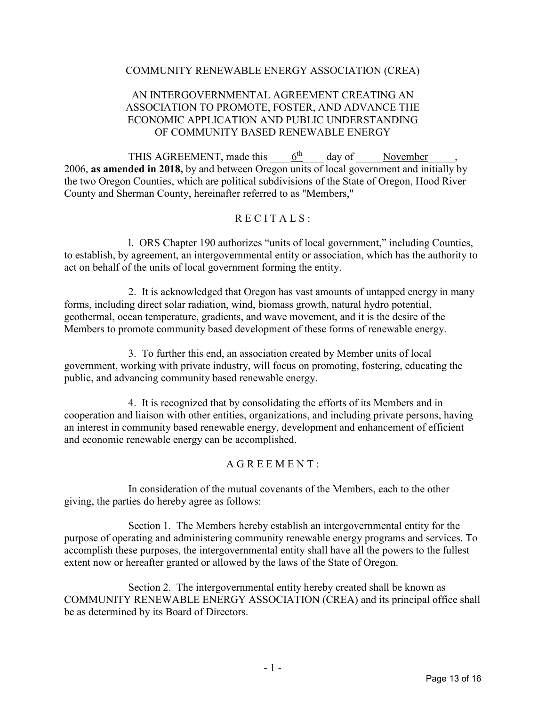#### COMMUNITY RENEWABLE ENERGY ASSOCIATION (CREA)

### AN INTERGOVERNMENTAL AGREEMENT CREATING AN ASSOCIATION TO PROMOTE, FOSTER, AND ADVANCE THE ECONOMIC APPLICATION AND PUBLIC UNDERSTANDING OF COMMUNITY BASED RENEWABLE ENERGY

THIS AGREEMENT, made this  $\underline{6}^{th}$  day of November 2006, **as amended in 2018,** by and between Oregon units of local government and initially by the two Oregon Counties, which are political subdivisions of the State of Oregon, Hood River County and Sherman County, hereinafter referred to as "Members,"

#### $R E C I T A L S$ :

 l. ORS Chapter 190 authorizes "units of local government," including Counties, to establish, by agreement, an intergovernmental entity or association, which has the authority to act on behalf of the units of local government forming the entity.

 2. It is acknowledged that Oregon has vast amounts of untapped energy in many forms, including direct solar radiation, wind, biomass growth, natural hydro potential, geothermal, ocean temperature, gradients, and wave movement, and it is the desire of the Members to promote community based development of these forms of renewable energy.

 3. To further this end, an association created by Member units of local government, working with private industry, will focus on promoting, fostering, educating the public, and advancing community based renewable energy.

 4. It is recognized that by consolidating the efforts of its Members and in cooperation and liaison with other entities, organizations, and including private persons, having an interest in community based renewable energy, development and enhancement of efficient and economic renewable energy can be accomplished.

#### A G R E E M E N T :

 In consideration of the mutual covenants of the Members, each to the other giving, the parties do hereby agree as follows:

 Section 1. The Members hereby establish an intergovernmental entity for the purpose of operating and administering community renewable energy programs and services. To accomplish these purposes, the intergovernmental entity shall have all the powers to the fullest extent now or hereafter granted or allowed by the laws of the State of Oregon.

 Section 2. The intergovernmental entity hereby created shall be known as COMMUNITY RENEWABLE ENERGY ASSOCIATION (CREA) and its principal office shall be as determined by its Board of Directors.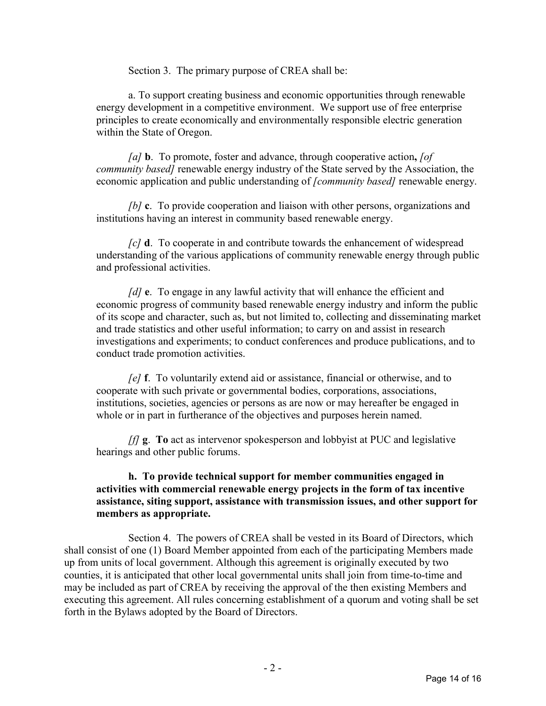Section 3. The primary purpose of CREA shall be:

a. To support creating business and economic opportunities through renewable energy development in a competitive environment. We support use of free enterprise principles to create economically and environmentally responsible electric generation within the State of Oregon.

*[a]* **b**. To promote, foster and advance, through cooperative action**,** *[of community based]* renewable energy industry of the State served by the Association, the economic application and public understanding of *[community based]* renewable energy.

*[b]* **c**. To provide cooperation and liaison with other persons, organizations and institutions having an interest in community based renewable energy.

*[c]* **d**. To cooperate in and contribute towards the enhancement of widespread understanding of the various applications of community renewable energy through public and professional activities.

*[d]* **e**. To engage in any lawful activity that will enhance the efficient and economic progress of community based renewable energy industry and inform the public of its scope and character, such as, but not limited to, collecting and disseminating market and trade statistics and other useful information; to carry on and assist in research investigations and experiments; to conduct conferences and produce publications, and to conduct trade promotion activities.

*[e]* **f**. To voluntarily extend aid or assistance, financial or otherwise, and to cooperate with such private or governmental bodies, corporations, associations, institutions, societies, agencies or persons as are now or may hereafter be engaged in whole or in part in furtherance of the objectives and purposes herein named.

*[f]* **g**. **To** act as intervenor spokesperson and lobbyist at PUC and legislative hearings and other public forums.

## **h. To provide technical support for member communities engaged in activities with commercial renewable energy projects in the form of tax incentive assistance, siting support, assistance with transmission issues, and other support for members as appropriate.**

 Section 4. The powers of CREA shall be vested in its Board of Directors, which shall consist of one (1) Board Member appointed from each of the participating Members made up from units of local government. Although this agreement is originally executed by two counties, it is anticipated that other local governmental units shall join from time-to-time and may be included as part of CREA by receiving the approval of the then existing Members and executing this agreement. All rules concerning establishment of a quorum and voting shall be set forth in the Bylaws adopted by the Board of Directors.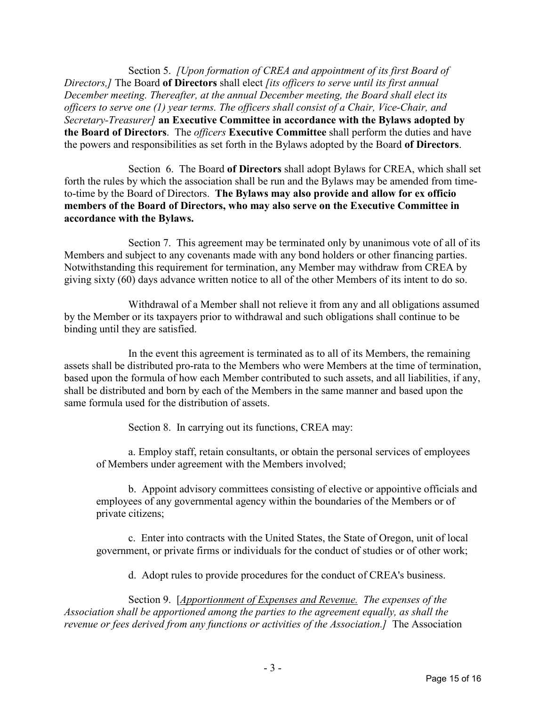Section 5. *[Upon formation of CREA and appointment of its first Board of Directors,]* The Board **of Directors** shall elect *[its officers to serve until its first annual December meeting. Thereafter, at the annual December meeting, the Board shall elect its officers to serve one (1) year terms. The officers shall consist of a Chair, Vice-Chair, and Secretary-Treasurer]* **an Executive Committee in accordance with the Bylaws adopted by the Board of Directors**. The *officers* **Executive Committee** shall perform the duties and have the powers and responsibilities as set forth in the Bylaws adopted by the Board **of Directors**.

Section 6. The Board **of Directors** shall adopt Bylaws for CREA, which shall set forth the rules by which the association shall be run and the Bylaws may be amended from timeto-time by the Board of Directors. **The Bylaws may also provide and allow for ex officio members of the Board of Directors, who may also serve on the Executive Committee in accordance with the Bylaws.**

Section 7. This agreement may be terminated only by unanimous vote of all of its Members and subject to any covenants made with any bond holders or other financing parties. Notwithstanding this requirement for termination, any Member may withdraw from CREA by giving sixty (60) days advance written notice to all of the other Members of its intent to do so.

Withdrawal of a Member shall not relieve it from any and all obligations assumed by the Member or its taxpayers prior to withdrawal and such obligations shall continue to be binding until they are satisfied.

In the event this agreement is terminated as to all of its Members, the remaining assets shall be distributed pro-rata to the Members who were Members at the time of termination, based upon the formula of how each Member contributed to such assets, and all liabilities, if any, shall be distributed and born by each of the Members in the same manner and based upon the same formula used for the distribution of assets.

Section 8. In carrying out its functions, CREA may:

a. Employ staff, retain consultants, or obtain the personal services of employees of Members under agreement with the Members involved;

b. Appoint advisory committees consisting of elective or appointive officials and employees of any governmental agency within the boundaries of the Members or of private citizens;

c. Enter into contracts with the United States, the State of Oregon, unit of local government, or private firms or individuals for the conduct of studies or of other work;

d. Adopt rules to provide procedures for the conduct of CREA's business.

Section 9. [*Apportionment of Expenses and Revenue. The expenses of the Association shall be apportioned among the parties to the agreement equally, as shall the revenue or fees derived from any functions or activities of the Association.]* The Association